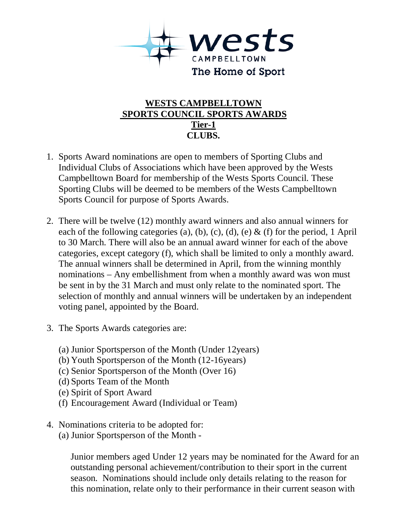

## **WESTS CAMPBELLTOWN SPORTS COUNCIL SPORTS AWARDS Tier-1 CLUBS.**

- 1. Sports Award nominations are open to members of Sporting Clubs and Individual Clubs of Associations which have been approved by the Wests Campbelltown Board for membership of the Wests Sports Council. These Sporting Clubs will be deemed to be members of the Wests Campbelltown Sports Council for purpose of Sports Awards.
- 2. There will be twelve (12) monthly award winners and also annual winners for each of the following categories (a), (b), (c), (d), (e)  $\&$  (f) for the period, 1 April to 30 March. There will also be an annual award winner for each of the above categories, except category (f), which shall be limited to only a monthly award. The annual winners shall be determined in April, from the winning monthly nominations – Any embellishment from when a monthly award was won must be sent in by the 31 March and must only relate to the nominated sport. The selection of monthly and annual winners will be undertaken by an independent voting panel, appointed by the Board.
- 3. The Sports Awards categories are:
	- (a) Junior Sportsperson of the Month (Under 12years)
	- (b) Youth Sportsperson of the Month (12-16years)
	- (c) Senior Sportsperson of the Month (Over 16)
	- (d) Sports Team of the Month
	- (e) Spirit of Sport Award
	- (f) Encouragement Award (Individual or Team)
- 4. Nominations criteria to be adopted for:
	- (a) Junior Sportsperson of the Month -

Junior members aged Under 12 years may be nominated for the Award for an outstanding personal achievement/contribution to their sport in the current season. Nominations should include only details relating to the reason for this nomination, relate only to their performance in their current season with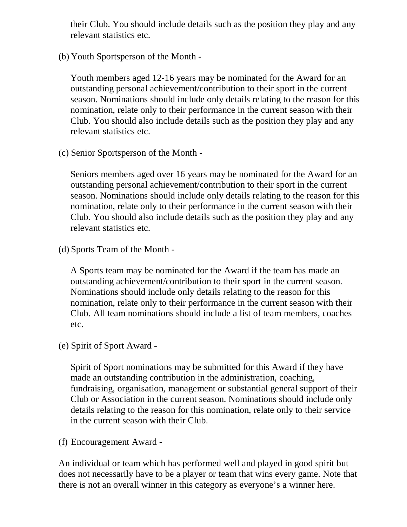their Club. You should include details such as the position they play and any relevant statistics etc.

(b) Youth Sportsperson of the Month -

Youth members aged 12-16 years may be nominated for the Award for an outstanding personal achievement/contribution to their sport in the current season. Nominations should include only details relating to the reason for this nomination, relate only to their performance in the current season with their Club. You should also include details such as the position they play and any relevant statistics etc.

(c) Senior Sportsperson of the Month -

Seniors members aged over 16 years may be nominated for the Award for an outstanding personal achievement/contribution to their sport in the current season. Nominations should include only details relating to the reason for this nomination, relate only to their performance in the current season with their Club. You should also include details such as the position they play and any relevant statistics etc.

(d) Sports Team of the Month -

A Sports team may be nominated for the Award if the team has made an outstanding achievement/contribution to their sport in the current season. Nominations should include only details relating to the reason for this nomination, relate only to their performance in the current season with their Club. All team nominations should include a list of team members, coaches etc.

(e) Spirit of Sport Award -

Spirit of Sport nominations may be submitted for this Award if they have made an outstanding contribution in the administration, coaching, fundraising, organisation, management or substantial general support of their Club or Association in the current season. Nominations should include only details relating to the reason for this nomination, relate only to their service in the current season with their Club.

(f) Encouragement Award -

An individual or team which has performed well and played in good spirit but does not necessarily have to be a player or team that wins every game. Note that there is not an overall winner in this category as everyone's a winner here.